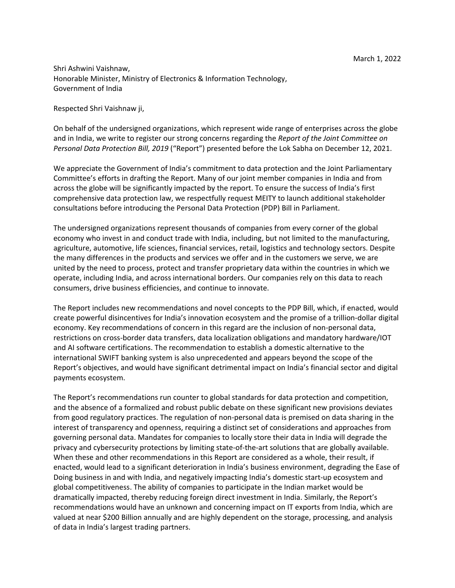Shri Ashwini Vaishnaw, Honorable Minister, Ministry of Electronics & Information Technology, Government of India

Respected Shri Vaishnaw ji,

On behalf of the undersigned organizations, which represent wide range of enterprises across the globe and in India, we write to register our strong concerns regarding the *Report of the Joint Committee on Personal Data Protection Bill, 2019* ("Report") presented before the Lok Sabha on December 12, 2021.

We appreciate the Government of India's commitment to data protection and the Joint Parliamentary Committee's efforts in drafting the Report. Many of our joint member companies in India and from across the globe will be significantly impacted by the report. To ensure the success of India's first comprehensive data protection law, we respectfully request MEITY to launch additional stakeholder consultations before introducing the Personal Data Protection (PDP) Bill in Parliament.

The undersigned organizations represent thousands of companies from every corner of the global economy who invest in and conduct trade with India, including, but not limited to the manufacturing, agriculture, automotive, life sciences, financial services, retail, logistics and technology sectors. Despite the many differences in the products and services we offer and in the customers we serve, we are united by the need to process, protect and transfer proprietary data within the countries in which we operate, including India, and across international borders. Our companies rely on this data to reach consumers, drive business efficiencies, and continue to innovate.

The Report includes new recommendations and novel concepts to the PDP Bill, which, if enacted, would create powerful disincentives for India's innovation ecosystem and the promise of a trillion-dollar digital economy. Key recommendations of concern in this regard are the inclusion of non-personal data, restrictions on cross-border data transfers, data localization obligations and mandatory hardware/IOT and AI software certifications. The recommendation to establish a domestic alternative to the international SWIFT banking system is also unprecedented and appears beyond the scope of the Report's objectives, and would have significant detrimental impact on India's financial sector and digital payments ecosystem.

The Report's recommendations run counter to global standards for data protection and competition, and the absence of a formalized and robust public debate on these significant new provisions deviates from good regulatory practices. The regulation of non-personal data is premised on data sharing in the interest of transparency and openness, requiring a distinct set of considerations and approaches from governing personal data. Mandates for companies to locally store their data in India will degrade the privacy and cybersecurity protections by limiting state-of-the-art solutions that are globally available. When these and other recommendations in this Report are considered as a whole, their result, if enacted, would lead to a significant deterioration in India's business environment, degrading the Ease of Doing business in and with India, and negatively impacting India's domestic start-up ecosystem and global competitiveness. The ability of companies to participate in the Indian market would be dramatically impacted, thereby reducing foreign direct investment in India. Similarly, the Report's recommendations would have an unknown and concerning impact on IT exports from India, which are valued at near \$200 Billion annually and are highly dependent on the storage, processing, and analysis of data in India's largest trading partners.